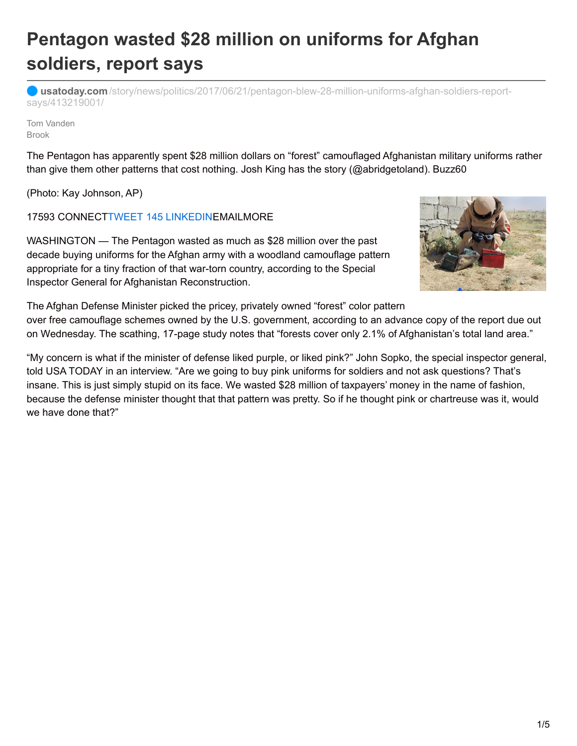# **Pentagon wasted \$28 million on uniforms for Afghan soldiers, report says**

**usatoday.com**[/story/news/politics/2017/06/21/pentagon-blew-28-million-uniforms-afghan-soldiers-report](https://www.usatoday.com/story/news/politics/2017/06/21/pentagon-blew-28-million-uniforms-afghan-soldiers-report-says/413219001/#)says/413219001/

Tom Vanden Brook

The Pentagon has apparently spent \$28 million dollars on "forest" camouflaged Afghanistan military uniforms rather than give them other patterns that cost nothing. Josh King has the story (@abridgetoland). Buzz60

(Photo: Kay Johnson, AP)

17593 CONNEC[TTWEET](https://twitter.com/intent/tweet?url=https%3A//usat.ly/2sRL7qf&text=Pentagon wasted %2428 million on uniforms for Afghan soldiers%2C report says&via=usatoday) 145 [LINKEDIN](http://www.linkedin.com/shareArticle?url=https%3A//usat.ly/2sRL7qf&mini=true)EMAILMORE

WASHINGTON — The Pentagon wasted as much as \$28 million over the past decade buying uniforms for the Afghan army with a woodland camouflage pattern appropriate for a tiny fraction of that war-torn country, according to the Special Inspector General for Afghanistan Reconstruction.



The Afghan Defense Minister picked the pricey, privately owned "forest" color pattern over free camouflage schemes owned by the U.S. government, according to an advance copy of the report due out on Wednesday. The scathing, 17-page study notes that "forests cover only 2.1% of Afghanistan's total land area."

"My concern is what if the minister of defense liked purple, or liked pink?" John Sopko, the special inspector general, told USA TODAY in an interview. "Are we going to buy pink uniforms for soldiers and not ask questions? That's insane. This is just simply stupid on its face. We wasted \$28 million of taxpayers' money in the name of fashion, because the defense minister thought that that pattern was pretty. So if he thought pink or chartreuse was it, would we have done that?"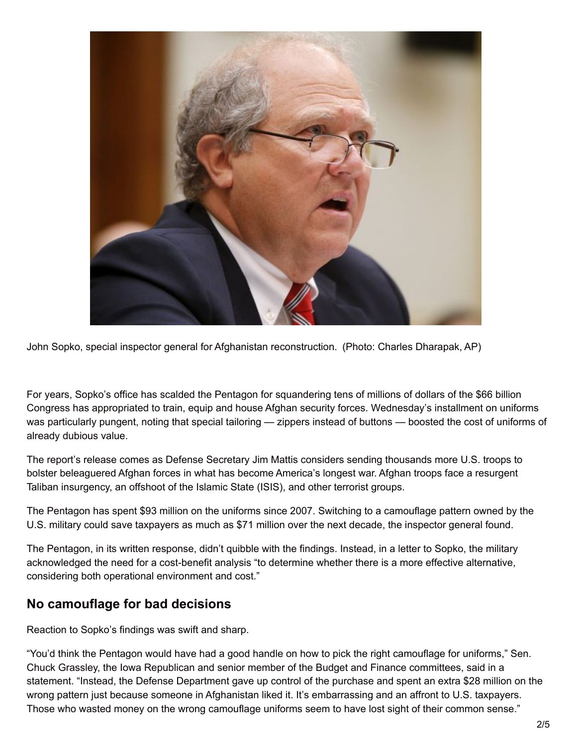

John Sopko, special inspector general for Afghanistan reconstruction. (Photo: Charles Dharapak, AP)

For years, Sopko's office has scalded the Pentagon for squandering tens of millions of dollars of the \$66 billion Congress has appropriated to train, equip and house Afghan security forces. Wednesday's installment on uniforms was particularly pungent, noting that special tailoring — zippers instead of buttons — boosted the cost of uniforms of already dubious value.

The report's release comes as Defense Secretary Jim Mattis considers sending thousands more U.S. troops to bolster beleaguered Afghan forces in what has become America's longest war. Afghan troops face a resurgent Taliban insurgency, an offshoot of the Islamic State (ISIS), and other terrorist groups.

The Pentagon has spent \$93 million on the uniforms since 2007. Switching to a camouflage pattern owned by the U.S. military could save taxpayers as much as \$71 million over the next decade, the inspector general found.

The Pentagon, in its written response, didn't quibble with the findings. Instead, in a letter to Sopko, the military acknowledged the need for a cost-benefit analysis "to determine whether there is a more effective alternative, considering both operational environment and cost."

### **No camouflage for bad decisions**

Reaction to Sopko's findings was swift and sharp.

"You'd think the Pentagon would have had a good handle on how to pick the right camouflage for uniforms," Sen. Chuck Grassley, the Iowa Republican and senior member of the Budget and Finance committees, said in a statement. "Instead, the Defense Department gave up control of the purchase and spent an extra \$28 million on the wrong pattern just because someone in Afghanistan liked it. It's embarrassing and an affront to U.S. taxpayers. Those who wasted money on the wrong camouflage uniforms seem to have lost sight of their common sense."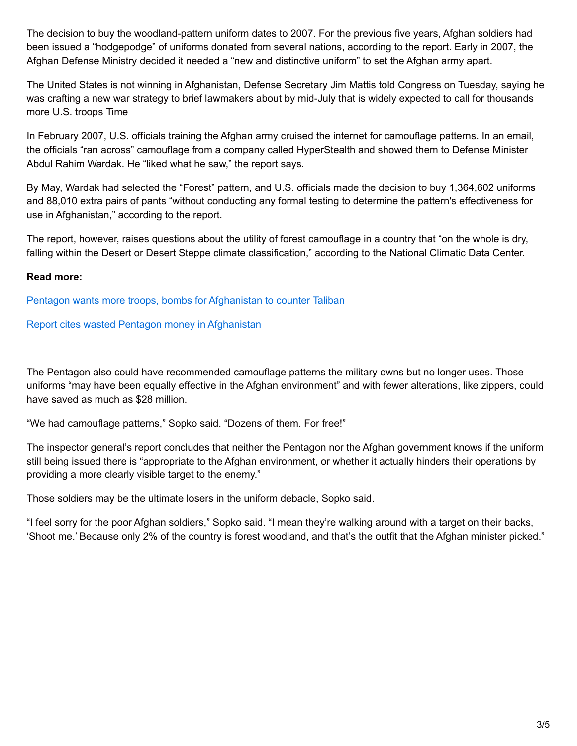The decision to buy the woodland-pattern uniform dates to 2007. For the previous five years, Afghan soldiers had been issued a "hodgepodge" of uniforms donated from several nations, according to the report. Early in 2007, the Afghan Defense Ministry decided it needed a "new and distinctive uniform" to set the Afghan army apart.

The United States is not winning in Afghanistan, Defense Secretary Jim Mattis told Congress on Tuesday, saying he was crafting a new war strategy to brief lawmakers about by mid-July that is widely expected to call for thousands more U.S. troops Time

In February 2007, U.S. officials training the Afghan army cruised the internet for camouflage patterns. In an email, the officials "ran across" camouflage from a company called HyperStealth and showed them to Defense Minister Abdul Rahim Wardak. He "liked what he saw," the report says.

By May, Wardak had selected the "Forest" pattern, and U.S. officials made the decision to buy 1,364,602 uniforms and 88,010 extra pairs of pants "without conducting any formal testing to determine the pattern's effectiveness for use in Afghanistan," according to the report.

The report, however, raises questions about the utility of forest camouflage in a country that "on the whole is dry, falling within the Desert or Desert Steppe climate classification," according to the National Climatic Data Center.

#### **Read more:**

Pentagon wants more troops, bombs for Afghanistan to counter Taliban

#### Report cites wasted Pentagon money in Afghanistan

The Pentagon also could have recommended camouflage patterns the military owns but no longer uses. Those uniforms "may have been equally effective in the Afghan environment" and with fewer alterations, like zippers, could have saved as much as \$28 million.

"We had camouflage patterns," Sopko said. "Dozens of them. For free!"

The inspector general's report concludes that neither the Pentagon nor the Afghan government knows if the uniform still being issued there is "appropriate to the Afghan environment, or whether it actually hinders their operations by providing a more clearly visible target to the enemy."

Those soldiers may be the ultimate losers in the uniform debacle, Sopko said.

"I feel sorry for the poor Afghan soldiers," Sopko said. "I mean they're walking around with a target on their backs, 'Shoot me.' Because only 2% of the country is forest woodland, and that's the outfit that the Afghan minister picked."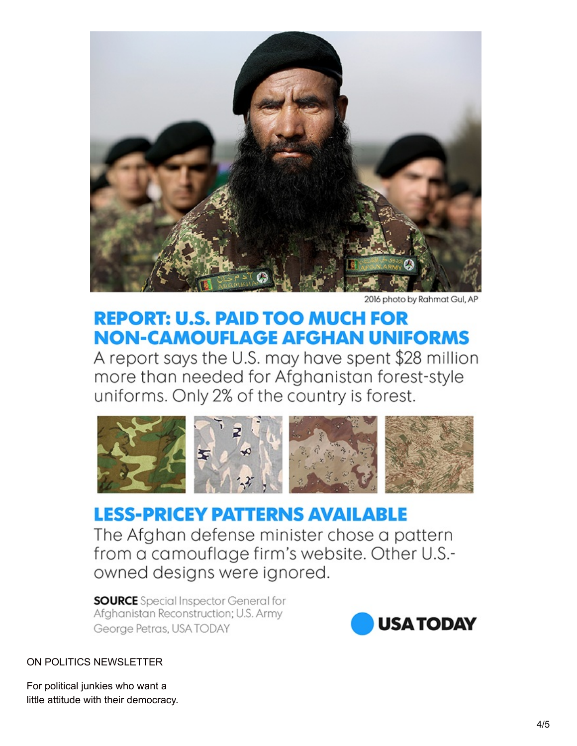

2016 photo by Rahmat Gul, AP

## **REPORT: U.S. PAID TOO MUCH FOR NON-CAMOUFLAGE AFGHAN UNIFORMS**

A report says the U.S. may have spent \$28 million more than needed for Afghanistan forest-style uniforms. Only 2% of the country is forest.



**LESS-PRICEY PATTERNS AVAILABLE** The Afghan defense minister chose a pattern from a camouflage firm's website. Other U.S.owned designs were ignored.

**SOURCE** Special Inspector General for Afghanistan Reconstruction; U.S. Army George Petras, USA TODAY



#### ON POLITICS NEWSLETTER

For political junkies who want a little attitude with their democracy.